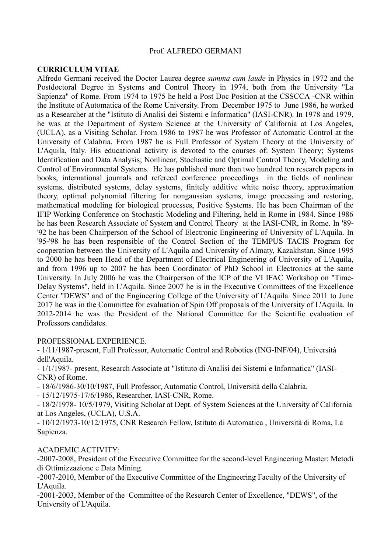### Prof. ALFREDO GERMANI

### **CURRICULUM VITAE**

Alfredo Germani received the Doctor Laurea degree *summa cum laude* in Physics in 1972 and the Postdoctoral Degree in Systems and Control Theory in 1974, both from the University "La Sapienza" of Rome. From 1974 to 1975 he held a Post Doc Position at the CSSCCA -CNR within the Institute of Automatica of the Rome University. From December 1975 to June 1986, he worked as a Researcher at the "Istituto di Analisi dei Sistemi e Informatica" (IASI-CNR). In 1978 and 1979, he was at the Department of System Science at the University of California at Los Angeles, (UCLA), as a Visiting Scholar. From 1986 to 1987 he was Professor of Automatic Control at the University of Calabria. From 1987 he is Full Professor of System Theory at the University of L'Aquila, Italy. His educational activity is devoted to the courses of: System Theory; Systems Identification and Data Analysis; Nonlinear, Stochastic and Optimal Control Theory, Modeling and Control of Environmental Systems. He has published more than two hundred ten research papers in books, international journals and refereed conference proceedings in the fields of nonlinear systems, distributed systems, delay systems, finitely additive white noise theory, approximation theory, optimal polynomial filtering for nongaussian systems, image processing and restoring, mathematical modeling for biological processes, Positive Systems. He has been Chairman of the IFIP Working Conference on Stochastic Modeling and Filtering, held in Rome in 1984. Since 1986 he has been Research Associate of System and Control Theory at the IASI-CNR, in Rome. In '89- '92 he has been Chairperson of the School of Electronic Engineering of University of L'Aquila. In '95-'98 he has been responsible of the Control Section of the TEMPUS TACIS Program for cooperation between the University of L'Aquila and University of Almaty, Kazakhstan. Since 1995 to 2000 he has been Head of the Department of Electrical Engineering of University of L'Aquila, and from 1996 up to 2007 he has been Coordinator of PhD School in Electronics at the same University. In July 2006 he was the Chairperson of the ICP of the VI IFAC Workshop on "Time-Delay Systems", held in L'Aquila. Since 2007 he is in the Executive Committees of the Excellence Center "DEWS" and of the Engineering College of the University of L'Aquila. Since 2011 to June 2017 he was in the Committee for evaluation of Spin Off proposals of the University of L'Aquila. In 2012-2014 he was the President of the National Committee for the Scientific evaluation of Professors candidates.

### PROFESSIONAL EXPERIENCE.

- 1/11/1987-present, Full Professor, Automatic Control and Robotics (ING-INF/04), Università dell'Aquila.

- 1/1/1987- present, Research Associate at "Istituto di Analisi dei Sistemi e Informatica" (IASI-CNR) of Rome.

- 18/6/1986-30/10/1987, Full Professor, Automatic Control, Università della Calabria.

- 15/12/1975-17/6/1986, Researcher, IASI-CNR, Rome.

- 18/2/1978- 10/5/1979, Visiting Scholar at Dept. of System Sciences at the University of California at Los Angeles, (UCLA), U.S.A.

- 10/12/1973-10/12/1975, CNR Research Fellow, Istituto di Automatica , Università di Roma, La Sapienza.

ACADEMIC ACTIVITY:

-2007-2008, President of the Executive Committee for the second-level Engineering Master: Metodi di Ottimizzazione e Data Mining.

-2007-2010, Member of the Executive Committee of the Engineering Faculty of the University of L'Aquila.

-2001-2003, Member of the Committee of the Research Center of Excellence, "DEWS", of the University of L'Aquila.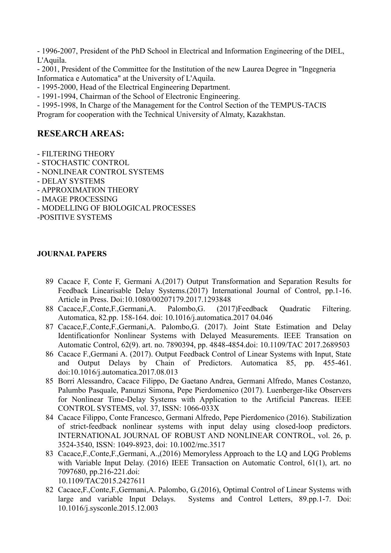- 1996-2007, President of the PhD School in Electrical and Information Engineering of the DIEL, L'Aquila.

- 2001, President of the Committee for the Institution of the new Laurea Degree in "Ingegneria Informatica e Automatica" at the University of L'Aquila.

- 1995-2000, Head of the Electrical Engineering Department.

- 1991-1994, Chairman of the School of Electronic Engineering.

- 1995-1998, In Charge of the Management for the Control Section of the TEMPUS-TACIS Program for cooperation with the Technical University of Almaty, Kazakhstan.

# **RESEARCH AREAS:**

- FILTERING THEORY
- STOCHASTIC CONTROL
- NONLINEAR CONTROL SYSTEMS
- DELAY SYSTEMS
- APPROXIMATION THEORY
- IMAGE PROCESSING
- MODELLING OF BIOLOGICAL PROCESSES

-POSITIVE SYSTEMS

## **JOURNAL PAPERS**

- 89 Cacace F, Conte F, Germani A.(2017) Output Transformation and Separation Results for Feedback Linearisable Delay Systems.(2017) International Journal of Control, pp.1-16. Article in Press. Doi:10.1080/00207179.2017.1293848
- 88 Cacace,F.,Conte,F.,Germani,A. Palombo,G. (2017)Feedback Quadratic Filtering. Automatica, 82.pp. 158-164. doi: 10.1016/j.automatica.2017 04.046
- 87 Cacace,F.,Conte,F.,Germani,A. Palombo,G. (2017). Joint State Estimation and Delay Identificationfor Nonlinear Systems with Delayed Measurements. IEEE Transation on Automatic Control, 62(9). art. no. 7890394, pp. 4848-4854.doi: 10.1109/TAC 2017.2689503
- 86 Cacace F.,Germani A. (2017). Output Feedback Control of Linear Systems with Input, State and Output Delays by Chain of Predictors. Automatica 85, pp. 455-461. doi:10.1016/j.automatica.2017.08.013
- 85 Borri Alessandro, Cacace Filippo, De Gaetano Andrea, Germani Alfredo, Manes Costanzo, Palumbo Pasquale, Panunzi Simona, Pepe Pierdomenico (2017). Luenberger-like Observers for Nonlinear Time-Delay Systems with Application to the Artificial Pancreas. IEEE CONTROL SYSTEMS, vol. 37, ISSN: 1066-033X
- 84 Cacace Filippo, Conte Francesco, Germani Alfredo, Pepe Pierdomenico (2016). Stabilization of strict-feedback nonlinear systems with input delay using closed-loop predictors. INTERNATIONAL JOURNAL OF ROBUST AND NONLINEAR CONTROL, vol. 26, p. 3524-3540, ISSN: 1049-8923, doi: 10.1002/rnc.3517
- 83 Cacace,F.,Conte,F.,Germani, A.,(2016) Memoryless Approach to the LQ and LQG Problems with Variable Input Delay. (2016) IEEE Transaction on Automatic Control, 61(1), art. no 7097680, pp.216-221.doi:

10.1109/TAC2015.2427611

82 Cacace,F.,Conte,F.,Germani,A. Palombo, G.(2016), Optimal Control of Linear Systems with large and variable Input Delays. Systems and Control Letters, 89.pp.1-7. Doi: 10.1016/j.sysconle.2015.12.003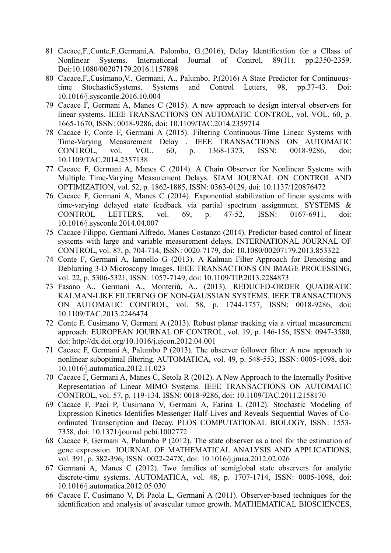- 81 Cacace,F.,Conte,F.,Germani,A. Palombo, G.(2016), Delay Identification for a Cllass of Nonlinear Systems. International Journal of Control, 89(11). pp.2350-2359. Doi:10.1080/00207179.2016.1157898
- 80 Cacace,F.,Cusimano,V., Germani, A., Palumbo, P.(2016) A State Predictor for Continuoustime StochasticSystems. Systems and Control Letters, 98, pp.37-43. Doi: 10.1016/j.syscontle.2016.10.004
- 79 Cacace F, Germani A, Manes C (2015). A new approach to design interval observers for linear systems. IEEE TRANSACTIONS ON AUTOMATIC CONTROL, vol. VOL. 60, p. 1665-1670, ISSN: 0018-9286, doi: 10.1109/TAC.2014.2359714
- 78 Cacace F, Conte F, Germani A (2015). Filtering Continuous-Time Linear Systems with Time-Varying Measurement Delay . IEEE TRANSACTIONS ON AUTOMATIC CONTROL, vol. VOL. 60, p. 1368-1373, ISSN: 0018-9286, doi: 10.1109/TAC.2014.2357138
- 77 Cacace F, Germani A, Manes C (2014). A Chain Observer for Nonlinear Systems with Multiple Time-Varying Measurement Delays. SIAM JOURNAL ON CONTROL AND OPTIMIZATION, vol. 52, p. 1862-1885, ISSN: 0363-0129, doi: 10.1137/120876472
- 76 Cacace F, Germani A, Manes C (2014). Exponential stabilization of linear systems with time-varying delayed state feedback via partial spectrum assignment. SYSTEMS & CONTROL LETTERS, vol. 69, p. 47-52, ISSN: 0167-6911, doi: 10.1016/j.sysconle.2014.04.007
- 75 Cacace Filippo, Germani Alfredo, Manes Costanzo (2014). Predictor-based control of linear systems with large and variable measurement delays. INTERNATIONAL JOURNAL OF CONTROL, vol. 87, p. 704-714, ISSN: 0020-7179, doi: 10.1080/00207179.2013.853322
- 74 Conte F, Germani A, Iannello G (2013). A Kalman Filter Approach for Denoising and Deblurring 3-D Microscopy Images. IEEE TRANSACTIONS ON IMAGE PROCESSING, vol. 22, p. 5306-5321, ISSN: 1057-7149, doi: 10.1109/TIP.2013.2284873
- 73 Fasano A., Germani A., Monteriù, A., (2013). REDUCED-ORDER QUADRATIC KALMAN-LIKE FILTERING OF NON-GAUSSIAN SYSTEMS. IEEE TRANSACTIONS ON AUTOMATIC CONTROL, vol. 58, p. 1744-1757, ISSN: 0018-9286, doi: 10.1109/TAC.2013.2246474
- 72 Conte F, Cusimano V, Germani A (2013). Robust planar tracking via a virtual measurement approach. EUROPEAN JOURNAL OF CONTROL, vol. 19, p. 146-156, ISSN: 0947-3580, doi: http://dx.doi.org/10.1016/j.ejcon.2012.04.001
- 71 Cacace F, Germani A, Palumbo P (2013). The observer follower filter: A new approach to nonlinear suboptimal filtering. AUTOMATICA, vol. 49, p. 548-553, ISSN: 0005-1098, doi: 10.1016/j.automatica.2012.11.023
- 70 Cacace F, Germani A, Manes C, Setola R (2012). A New Approach to the Internally Positive Representation of Linear MIMO Systems. IEEE TRANSACTIONS ON AUTOMATIC CONTROL, vol. 57, p. 119-134, ISSN: 0018-9286, doi: 10.1109/TAC.2011.2158170
- 69 Cacace F, Paci P, Cusimano V, Germani A, Farina L (2012). Stochastic Modeling of Expression Kinetics Identifies Messenger Half-Lives and Reveals Sequential Waves of Coordinated Transcription and Decay. PLOS COMPUTATIONAL BIOLOGY, ISSN: 1553- 7358, doi: 10.1371/journal.pcbi.1002772
- 68 Cacace F, Germani A, Palumbo P (2012). The state observer as a tool for the estimation of gene expression. JOURNAL OF MATHEMATICAL ANALYSIS AND APPLICATIONS, vol. 391, p. 382-396, ISSN: 0022-247X, doi: 10.1016/j.jmaa.2012.02.026
- 67 Germani A, Manes C (2012). Two families of semiglobal state observers for analytic discrete-time systems. AUTOMATICA, vol. 48, p. 1707-1714, ISSN: 0005-1098, doi: 10.1016/j.automatica.2012.05.030
- 66 Cacace F, Cusimano V, Di Paola L, Germani A (2011). Observer-based techniques for the identification and analysis of avascular tumor growth. MATHEMATICAL BIOSCIENCES,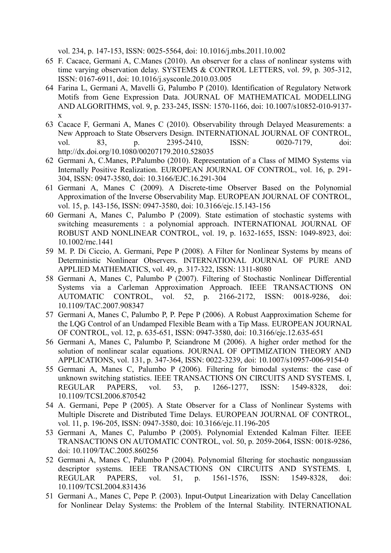vol. 234, p. 147-153, ISSN: 0025-5564, doi: 10.1016/j.mbs.2011.10.002

- 65 F. Cacace, Germani A, C.Manes (2010). An observer for a class of nonlinear systems with time varying observation delay. SYSTEMS & CONTROL LETTERS, vol. 59, p. 305-312, ISSN: 0167-6911, doi: 10.1016/j.sysconle.2010.03.005
- 64 Farina L, Germani A, Mavelli G, Palumbo P (2010). Identification of Regulatory Network Motifs from Gene Expression Data. JOURNAL OF MATHEMATICAL MODELLING AND ALGORITHMS, vol. 9, p. 233-245, ISSN: 1570-1166, doi: 10.1007/s10852-010-9137 x
- 63 Cacace F, Germani A, Manes C (2010). Observability through Delayed Measurements: a New Approach to State Observers Design. INTERNATIONAL JOURNAL OF CONTROL, vol. 83, p. 2395-2410, ISSN: 0020-7179, doi: http://dx.doi.org/10.1080/00207179.2010.528035
- 62 Germani A, C.Manes, P.Palumbo (2010). Representation of a Class of MIMO Systems via Internally Positive Realization. EUROPEAN JOURNAL OF CONTROL, vol. 16, p. 291- 304, ISSN: 0947-3580, doi: 10.3166/EJC.16.291-304
- 61 Germani A, Manes C (2009). A Discrete-time Observer Based on the Polynomial Approximation of the Inverse Observability Map. EUROPEAN JOURNAL OF CONTROL, vol. 15, p. 143-156, ISSN: 0947-3580, doi: 10.3166/ejc.15.143-156
- 60 Germani A, Manes C, Palumbo P (2009). State estimation of stochastic systems with switching measurements : a polynomial approach. INTERNATIONAL JOURNAL OF ROBUST AND NONLINEAR CONTROL, vol. 19, p. 1632-1655, ISSN: 1049-8923, doi: 10.1002/rnc.1441
- 59 M. P. Di Ciccio, A. Germani, Pepe P (2008). A Filter for Nonlinear Systems by means of Deterministic Nonlinear Observers. INTERNATIONAL JOURNAL OF PURE AND APPLIED MATHEMATICS, vol. 49, p. 317-322, ISSN: 1311-8080
- 58 Germani A, Manes C, Palumbo P (2007). Filtering of Stochastic Nonlinear Differential Systems via a Carleman Approximation Approach. IEEE TRANSACTIONS ON AUTOMATIC CONTROL, vol. 52, p. 2166-2172, ISSN: 0018-9286, doi: 10.1109/TAC.2007.908347
- 57 Germani A, Manes C, Palumbo P, P. Pepe P (2006). A Robust Aapproximation Scheme for the LQG Control of an Undamped Flexible Beam with a Tip Mass. EUROPEAN JOURNAL OF CONTROL, vol. 12, p. 635-651, ISSN: 0947-3580, doi: 10.3166/ejc.12.635-651
- 56 Germani A, Manes C, Palumbo P, Sciandrone M (2006). A higher order method for the solution of nonlinear scalar equations. JOURNAL OF OPTIMIZATION THEORY AND APPLICATIONS, vol. 131, p. 347-364, ISSN: 0022-3239, doi: 10.1007/s10957-006-9154-0
- 55 Germani A, Manes C, Palumbo P (2006). Filtering for bimodal systems: the case of unknown switching statistics. IEEE TRANSACTIONS ON CIRCUITS AND SYSTEMS. I, REGULAR PAPERS, vol. 53, p. 1266-1277, ISSN: 1549-8328, doi: 10.1109/TCSI.2006.870542
- 54 A. Germani, Pepe P (2005). A State Observer for a Class of Nonlinear Systems with Multiple Discrete and Distributed Time Delays. EUROPEAN JOURNAL OF CONTROL, vol. 11, p. 196-205, ISSN: 0947-3580, doi: 10.3166/ejc.11.196-205
- 53 Germani A, Manes C, Palumbo P (2005). Polynomial Extended Kalman Filter. IEEE TRANSACTIONS ON AUTOMATIC CONTROL, vol. 50, p. 2059-2064, ISSN: 0018-9286, doi: 10.1109/TAC.2005.860256
- 52 Germani A, Manes C, Palumbo P (2004). Polynomial filtering for stochastic nongaussian descriptor systems. IEEE TRANSACTIONS ON CIRCUITS AND SYSTEMS. I, REGULAR PAPERS, vol. 51, p. 1561-1576, ISSN: 1549-8328, doi: 10.1109/TCSI.2004.831436
- 51 Germani A., Manes C, Pepe P. (2003). Input-Output Linearization with Delay Cancellation for Nonlinear Delay Systems: the Problem of the Internal Stability. INTERNATIONAL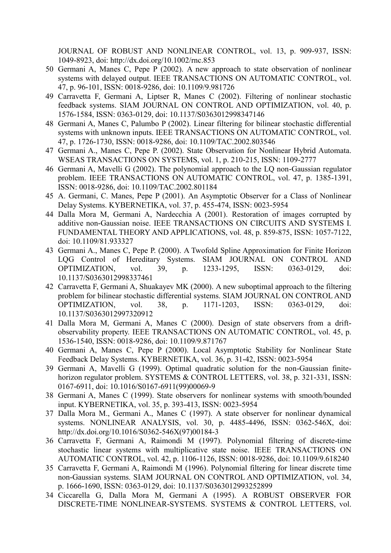JOURNAL OF ROBUST AND NONLINEAR CONTROL, vol. 13, p. 909-937, ISSN: 1049-8923, doi: http://dx.doi.org/10.1002/rnc.853

- 50 Germani A, Manes C, Pepe P (2002). A new approach to state observation of nonlinear systems with delayed output. IEEE TRANSACTIONS ON AUTOMATIC CONTROL, vol. 47, p. 96-101, ISSN: 0018-9286, doi: 10.1109/9.981726
- 49 Carravetta F, Germani A, Liptser R, Manes C (2002). Filtering of nonlinear stochastic feedback systems. SIAM JOURNAL ON CONTROL AND OPTIMIZATION, vol. 40, p. 1576-1584, ISSN: 0363-0129, doi: 10.1137/S0363012998347146
- 48 Germani A, Manes C, Palumbo P (2002). Linear filtering for bilinear stochastic differential systems with unknown inputs. IEEE TRANSACTIONS ON AUTOMATIC CONTROL, vol. 47, p. 1726-1730, ISSN: 0018-9286, doi: 10.1109/TAC.2002.803546
- 47 Germani A., Manes C, Pepe P. (2002). State Observation for Nonlinear Hybrid Automata. WSEAS TRANSACTIONS ON SYSTEMS, vol. 1, p. 210-215, ISSN: 1109-2777
- 46 Germani A, Mavelli G (2002). The polynomial approach to the LQ non-Gaussian regulator problem. IEEE TRANSACTIONS ON AUTOMATIC CONTROL, vol. 47, p. 1385-1391, ISSN: 0018-9286, doi: 10.1109/TAC.2002.801184
- 45 A. Germani, C. Manes, Pepe P (2001). An Asymptotic Observer for a Class of Nonlinear Delay Systems. KYBERNETIKA, vol. 37, p. 455-474, ISSN: 0023-5954
- 44 Dalla Mora M, Germani A, Nardecchia A (2001). Restoration of images corrupted by additive non-Gaussian noise. IEEE TRANSACTIONS ON CIRCUITS AND SYSTEMS I. FUNDAMENTAL THEORY AND APPLICATIONS, vol. 48, p. 859-875, ISSN: 1057-7122, doi: 10.1109/81.933327
- 43 Germani A., Manes C, Pepe P. (2000). A Twofold Spline Approximation for Finite Horizon LQG Control of Hereditary Systems. SIAM JOURNAL ON CONTROL AND OPTIMIZATION, vol. 39, p. 1233-1295, ISSN: 0363-0129, doi: 10.1137/S0363012998337461
- 42 Carravetta F, Germani A, Shuakayev MK (2000). A new suboptimal approach to the filtering problem for bilinear stochastic differential systems. SIAM JOURNAL ON CONTROL AND OPTIMIZATION, vol. 38, p. 1171-1203, ISSN: 0363-0129, doi: 10.1137/S0363012997320912
- 41 Dalla Mora M, Germani A, Manes C (2000). Design of state observers from a driftobservability property. IEEE TRANSACTIONS ON AUTOMATIC CONTROL, vol. 45, p. 1536-1540, ISSN: 0018-9286, doi: 10.1109/9.871767
- 40 Germani A, Manes C, Pepe P (2000). Local Asymptotic Stability for Nonlinear State Feedback Delay Systems. KYBERNETIKA, vol. 36, p. 31-42, ISSN: 0023-5954
- 39 Germani A, Mavelli G (1999). Optimal quadratic solution for the non-Gaussian finitehorizon regulator problem. SYSTEMS & CONTROL LETTERS, vol. 38, p. 321-331, ISSN: 0167-6911, doi: 10.1016/S0167-6911(99)00069-9
- 38 Germani A, Manes C (1999). State observers for nonlinear systems with smooth/bounded input. KYBERNETIKA, vol. 35, p. 393-413, ISSN: 0023-5954
- 37 Dalla Mora M., Germani A., Manes C (1997). A state observer for nonlinear dynamical systems. NONLINEAR ANALYSIS, vol. 30, p. 4485-4496, ISSN: 0362-546X, doi: http://dx.doi.org/10.1016/S0362-546X(97)00184-3
- 36 Carravetta F, Germani A, Raimondi M (1997). Polynomial filtering of discrete-time stochastic linear systems with multiplicative state noise. IEEE TRANSACTIONS ON AUTOMATIC CONTROL, vol. 42, p. 1106-1126, ISSN: 0018-9286, doi: 10.1109/9.618240
- 35 Carravetta F, Germani A, Raimondi M (1996). Polynomial filtering for linear discrete time non-Gaussian systems. SIAM JOURNAL ON CONTROL AND OPTIMIZATION, vol. 34, p. 1666-1690, ISSN: 0363-0129, doi: 10.1137/S0363012993252899
- 34 Ciccarella G, Dalla Mora M, Germani A (1995). A ROBUST OBSERVER FOR DISCRETE-TIME NONLINEAR-SYSTEMS. SYSTEMS & CONTROL LETTERS, vol.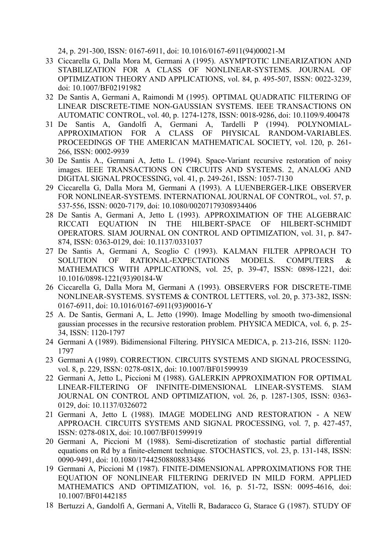24, p. 291-300, ISSN: 0167-6911, doi: 10.1016/0167-6911(94)00021-M

- 33 Ciccarella G, Dalla Mora M, Germani A (1995). ASYMPTOTIC LINEARIZATION AND STABILIZATION FOR A CLASS OF NONLINEAR-SYSTEMS. JOURNAL OF OPTIMIZATION THEORY AND APPLICATIONS, vol. 84, p. 495-507, ISSN: 0022-3239, doi: 10.1007/BF02191982
- 32 De Santis A, Germani A, Raimondi M (1995). OPTIMAL QUADRATIC FILTERING OF LINEAR DISCRETE-TIME NON-GAUSSIAN SYSTEMS. IEEE TRANSACTIONS ON AUTOMATIC CONTROL, vol. 40, p. 1274-1278, ISSN: 0018-9286, doi: 10.1109/9.400478
- 31 De Santis A, Gandolfi A, Germani A, Tardelli P (1994). POLYNOMIAL-APPROXIMATION FOR A CLASS OF PHYSICAL RANDOM-VARIABLES. PROCEEDINGS OF THE AMERICAN MATHEMATICAL SOCIETY, vol. 120, p. 261- 266, ISSN: 0002-9939
- 30 De Santis A., Germani A, Jetto L. (1994). Space-Variant recursive restoration of noisy images. IEEE TRANSACTIONS ON CIRCUITS AND SYSTEMS. 2, ANALOG AND DIGITAL SIGNAL PROCESSING, vol. 41, p. 249-261, ISSN: 1057-7130
- 29 Ciccarella G, Dalla Mora M, Germani A (1993). A LUENBERGER-LIKE OBSERVER FOR NONLINEAR-SYSTEMS. INTERNATIONAL JOURNAL OF CONTROL, vol. 57, p. 537-556, ISSN: 0020-7179, doi: 10.1080/00207179308934406
- 28 De Santis A, Germani A, Jetto L (1993). APPROXIMATION OF THE ALGEBRAIC RICCATI EQUATION IN THE HILBERT-SPACE OF HILBERT-SCHMIDT OPERATORS. SIAM JOURNAL ON CONTROL AND OPTIMIZATION, vol. 31, p. 847- 874, ISSN: 0363-0129, doi: 10.1137/0331037
- 27 De Santis A, Germani A, Scoglio C (1993). KALMAN FILTER APPROACH TO SOLUTION OF RATIONAL-EXPECTATIONS MODELS. COMPUTERS & MATHEMATICS WITH APPLICATIONS, vol. 25, p. 39-47, ISSN: 0898-1221, doi: 10.1016/0898-1221(93)90184-W
- 26 Ciccarella G, Dalla Mora M, Germani A (1993). OBSERVERS FOR DISCRETE-TIME NONLINEAR-SYSTEMS. SYSTEMS & CONTROL LETTERS, vol. 20, p. 373-382, ISSN: 0167-6911, doi: 10.1016/0167-6911(93)90016-Y
- 25 A. De Santis, Germani A, L. Jetto (1990). Image Modelling by smooth two-dimensional gaussian processes in the recursive restoration problem. PHYSICA MEDICA, vol. 6, p. 25- 34, ISSN: 1120-1797
- 24 Germani A (1989). Bidimensional Filtering. PHYSICA MEDICA, p. 213-216, ISSN: 1120- 1797
- 23 Germani A (1989). CORRECTION. CIRCUITS SYSTEMS AND SIGNAL PROCESSING, vol. 8, p. 229, ISSN: 0278-081X, doi: 10.1007/BF01599939
- 22 Germani A, Jetto L, Piccioni M (1988). GALERKIN APPROXIMATION FOR OPTIMAL LINEAR-FILTERING OF INFINITE-DIMENSIONAL LINEAR-SYSTEMS. SIAM JOURNAL ON CONTROL AND OPTIMIZATION, vol. 26, p. 1287-1305, ISSN: 0363- 0129, doi: 10.1137/0326072
- 21 Germani A, Jetto L (1988). IMAGE MODELING AND RESTORATION A NEW APPROACH. CIRCUITS SYSTEMS AND SIGNAL PROCESSING, vol. 7, p. 427-457, ISSN: 0278-081X, doi: 10.1007/BF01599919
- 20 Germani A, Piccioni M (1988). Semi-discretization of stochastic partial differential equations on Rd by a finite-element technique. STOCHASTICS, vol. 23, p. 131-148, ISSN: 0090-9491, doi: 10.1080/17442508808833486
- 19 Germani A, Piccioni M (1987). FINITE-DIMENSIONAL APPROXIMATIONS FOR THE EQUATION OF NONLINEAR FILTERING DERIVED IN MILD FORM. APPLIED MATHEMATICS AND OPTIMIZATION, vol. 16, p. 51-72, ISSN: 0095-4616, doi: 10.1007/BF01442185
- 18 Bertuzzi A, Gandolfi A, Germani A, Vitelli R, Badaracco G, Starace G (1987). STUDY OF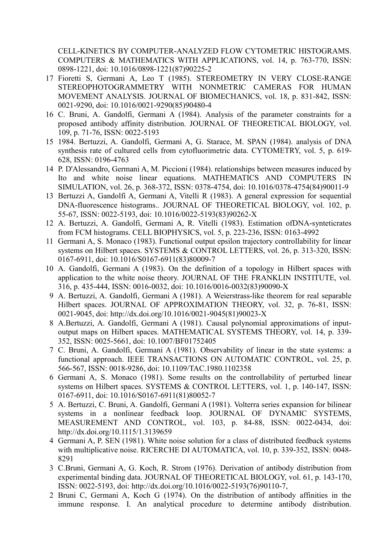CELL-KINETICS BY COMPUTER-ANALYZED FLOW CYTOMETRIC HISTOGRAMS. COMPUTERS & MATHEMATICS WITH APPLICATIONS, vol. 14, p. 763-770, ISSN: 0898-1221, doi: 10.1016/0898-1221(87)90225-2

- 17 Fioretti S, Germani A, Leo T (1985). STEREOMETRY IN VERY CLOSE-RANGE STEREOPHOTOGRAMMETRY WITH NONMETRIC CAMERAS FOR HUMAN MOVEMENT ANALYSIS. JOURNAL OF BIOMECHANICS, vol. 18, p. 831-842, ISSN: 0021-9290, doi: 10.1016/0021-9290(85)90480-4
- 16 C. Bruni, A. Gandolfi, Germani A (1984). Analysis of the parameter constraints for a proposed antibody affinity distribution. JOURNAL OF THEORETICAL BIOLOGY, vol. 109, p. 71-76, ISSN: 0022-5193
- 15 1984. Bertuzzi, A. Gandolfi, Germani A, G. Starace, M. SPAN (1984). analysis of DNA synthesis rate of cultured cells from cytofluorimetric data. CYTOMETRY, vol. 5, p. 619- 628, ISSN: 0196-4763
- 14 P. D'Alessandro, Germani A, M. Piccioni (1984). relationships between measures induced by Ito and white noise linear equations. MATHEMATICS AND COMPUTERS IN SIMULATION, vol. 26, p. 368-372, ISSN: 0378-4754, doi: 10.1016/0378-4754(84)90011-9
- 13 Bertuzzi A, Gandolfi A, Germani A, Vitelli R (1983). A general expression for sequential DNA-fluorescence histograms.. JOURNAL OF THEORETICAL BIOLOGY, vol. 102, p. 55-67, ISSN: 0022-5193, doi: 10.1016/0022-5193(83)90262-X
- 12 A. Bertuzzi, A. Gandolfi, Germani A, R. Vitelli (1983). Estimation ofDNA-synteticrates from FCM histograms. CELL BIOPHYSICS, vol. 5, p. 223-236, ISSN: 0163-4992
- 11 Germani A, S. Monaco (1983). Functional output epsilon trajectory controllability for linear systems on Hilbert spaces. SYSTEMS & CONTROL LETTERS, vol. 26, p. 313-320, ISSN: 0167-6911, doi: 10.1016/S0167-6911(83)80009-7
- 10 A. Gandolfi, Germani A (1983). On the definition of a topology in Hilbert spaces with application to the white noise theory. JOURNAL OF THE FRANKLIN INSTITUTE, vol. 316, p. 435-444, ISSN: 0016-0032, doi: 10.1016/0016-0032(83)90090-X
- 9 A. Bertuzzi, A. Gandolfi, Germani A (1981). A Weierstrass-like theorem for real separable Hilbert spaces. JOURNAL OF APPROXIMATION THEORY, vol. 32, p. 76-81, ISSN: 0021-9045, doi: http://dx.doi.org/10.1016/0021-9045(81)90023-X
- 8 A.Bertuzzi, A. Gandolfi, Germani A (1981). Causal polynomial approximations of inputoutput maps on Hilbert spaces. MATHEMATICAL SYSTEMS THEORY, vol. 14, p. 339- 352, ISSN: 0025-5661, doi: 10.1007/BF01752405
- 7 C. Bruni, A. Gandolfi, Germani A (1981). Observability of linear in the state systems: a functional approach. IEEE TRANSACTIONS ON AUTOMATIC CONTROL, vol. 25, p. 566-567, ISSN: 0018-9286, doi: 10.1109/TAC.1980.1102358
- 6 Germani A, S. Monaco (1981). Some results on the controllability of perturbed linear systems on Hilbert spaces. SYSTEMS & CONTROL LETTERS, vol. 1, p. 140-147, ISSN: 0167-6911, doi: 10.1016/S0167-6911(81)80052-7
- 5 A. Bertuzzi, C. Bruni, A. Gandolfi, Germani A (1981). Volterra series expansion for bilinear systems in a nonlinear feedback loop. JOURNAL OF DYNAMIC SYSTEMS, MEASUREMENT AND CONTROL, vol. 103, p. 84-88, ISSN: 0022-0434, doi: http://dx.doi.org/10.1115/1.3139659
- 4 Germani A, P. SEN (1981). White noise solution for a class of distributed feedback systems with multiplicative noise. RICERCHE DI AUTOMATICA, vol. 10, p. 339-352, ISSN: 0048- 8291
- 3 C.Bruni, Germani A, G. Koch, R. Strom (1976). Derivation of antibody distribution from experimental binding data. JOURNAL OF THEORETICAL BIOLOGY, vol. 61, p. 143-170, ISSN: 0022-5193, doi: http://dx.doi.org/10.1016/0022-5193(76)90110-7,
- 2 Bruni C, Germani A, Koch G (1974). On the distribution of antibody affinities in the immune response. I. An analytical procedure to determine antibody distribution.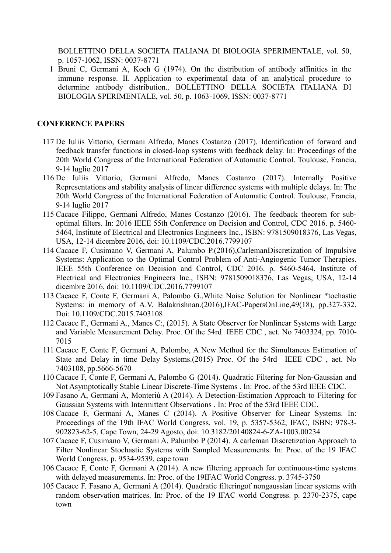BOLLETTINO DELLA SOCIETA ITALIANA DI BIOLOGIA SPERIMENTALE, vol. 50, p. 1057-1062, ISSN: 0037-8771

1 Bruni C, Germani A, Koch G (1974). On the distribution of antibody affinities in the immune response. II. Application to experimental data of an analytical procedure to determine antibody distribution.. BOLLETTINO DELLA SOCIETA ITALIANA DI BIOLOGIA SPERIMENTALE, vol. 50, p. 1063-1069, ISSN: 0037-8771

### **CONFERENCE PAPERS**

- 117 De Iuliis Vittorio, Germani Alfredo, Manes Costanzo (2017). Identification of forward and feedback transfer functions in closed-loop systems with feedback delay. In: Proceedings of the 20th World Congress of the International Federation of Automatic Control. Toulouse, Francia, 9-14 luglio 2017
- 116 De Iuliis Vittorio, Germani Alfredo, Manes Costanzo (2017). Internally Positive Representations and stability analysis of linear difference systems with multiple delays. In: The 20th World Congress of the International Federation of Automatic Control. Toulouse, Francia, 9-14 luglio 2017
- 115 Cacace Filippo, Germani Alfredo, Manes Costanzo (2016). The feedback theorem for suboptimal filters. In: 2016 IEEE 55th Conference on Decision and Control, CDC 2016. p. 5460- 5464, Institute of Electrical and Electronics Engineers Inc., ISBN: 9781509018376, Las Vegas, USA, 12-14 dicembre 2016, doi: 10.1109/CDC.2016.7799107
- 114 Cacace F, Cusimano V, Germani A, Palumbo P.(2016),CarlemanDiscretization of Impulsive Systems: Application to the Optimal Control Problem of Anti-Angiogenic Tumor Therapies. IEEE 55th Conference on Decision and Control, CDC 2016. p. 5460-5464, Institute of Electrical and Electronics Engineers Inc., ISBN: 9781509018376, Las Vegas, USA, 12-14 dicembre 2016, doi: 10.1109/CDC.2016.7799107
- 113 Cacace F, Conte F, Germani A, Palombo G.,White Noise Solution for Nonlinear \*tochastic Systems: in memory of A.V. Balakrishnan.(2016),IFAC-PapersOnLine,49(18), pp.327-332. Doi: 10.1109/CDC.2015.7403108
- 112 Cacace F., Germani A., Manes C:, (2015). A State Observer for Nonlinear Systems with Large and Variable Measurement Delay. Proc. Of the 54rd IEEE CDC , aet. No 7403324, pp. 7010- 7015
- 111 Cacace F, Conte F, Germani A, Palombo, A New Method for the Simultaneus Estimation of State and Delay in time Delay Systems.(2015) Proc. Of the 54rd IEEE CDC , aet. No 7403108, pp.5666-5670
- 110 Cacace F, Conte F, Germani A, Palombo G (2014). Quadratic Filtering for Non-Gaussian and Not Asymptotically Stable Linear Discrete-Time Systems . In: Proc. of the 53rd IEEE CDC.
- 109 Fasano A, Germani A, Monteriù A (2014). A Detection-Estimation Approach to Filtering for Gaussian Systems with Intermittent Observations . In: Proc of the 53rd IEEE CDC.
- 108 Cacace F, Germani A, Manes C (2014). A Positive Observer for Linear Systems. In: Proceedings of the 19th IFAC World Congress. vol. 19, p. 5357-5362, IFAC, ISBN: 978-3- 902823-62-5, Cape Town, 24-29 Agosto, doi: 10.3182/20140824-6-ZA-1003.00234
- 107 Cacace F, Cusimano V, Germani A, Palumbo P (2014). A carleman Discretization Approach to Filter Nonlinear Stochastic Systems with Sampled Measurements. In: Proc. of the 19 IFAC World Congress. p. 9534-9539, cape town
- 106 Cacace F, Conte F, Germani A (2014). A new filtering approach for continuous-time systems with delayed measurements. In: Proc. of the 19IFAC World Congress. p. 3745-3750
- 105 Cacace F. Fasano A, Germani A (2014). Quadratic filteringof nongaussian linear systems with random observation matrices. In: Proc. of the 19 IFAC world Congress. p. 2370-2375, cape town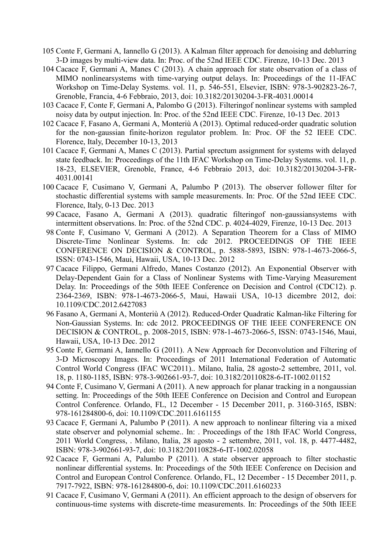- 105 Conte F, Germani A, Iannello G (2013). A Kalman filter approach for denoising and deblurring 3-D images by multi-view data. In: Proc. of the 52nd IEEE CDC. Firenze, 10-13 Dec. 2013
- 104 Cacace F, Germani A, Manes C (2013). A chain approach for state observation of a class of MIMO nonlinearsystems with time-varying output delays. In: Proceedings of the 11-IFAC Workshop on Time-Delay Systems. vol. 11, p. 546-551, Elsevier, ISBN: 978-3-902823-26-7, Grenoble, Francia, 4-6 Febbraio, 2013, doi: 10.3182/20130204-3-FR-4031.00014
- 103 Cacace F, Conte F, Germani A, Palombo G (2013). Filteringof nonlinear systems with sampled noisy data by output injection. In: Proc. of the 52nd IEEE CDC. Firenze, 10-13 Dec. 2013
- 102 Cacace F, Fasano A, Germani A, Monteriù A (2013). Optimal reduced-order quadratic solution for the non-gaussian finite-horizon regulator problem. In: Proc. OF the 52 IEEE CDC. Florence, Italy, December 10-13, 2013
- 101 Cacace F, Germani A, Manes C (2013). Partial sprectum assignment for systems with delayed state feedback. In: Proceedings of the 11th IFAC Workshop on Time-Delay Systems. vol. 11, p. 18-23, ELSEVIER, Grenoble, France, 4-6 Febbraio 2013, doi: 10.3182/20130204-3-FR-4031.00141
- 100 Cacace F, Cusimano V, Germani A, Palumbo P (2013). The observer follower filter for stochastic differential systems with sample measurements. In: Proc. Of the 52nd IEEE CDC. Florence, Italy, 0-13 Dec. 2013
- 99 Cacace, Fasano A, Germani A (2013). quadratic filteringof non-gaussiansystems with intermittent observations. In: Proc. of the 52nd CDC. p. 4024-4029, Firenze, 10-13 Dec. 2013
- 98 Conte F, Cusimano V, Germani A (2012). A Separation Theorem for a Class of MIMO Discrete-Time Nonlinear Systems. In: cdc 2012. PROCEEDINGS OF THE IEEE CONFERENCE ON DECISION & CONTROL, p. 5888-5893, ISBN: 978-1-4673-2066-5, ISSN: 0743-1546, Maui, Hawaii, USA, 10-13 Dec. 2012
- 97 Cacace Filippo, Germani Alfredo, Manes Costanzo (2012). An Exponential Observer with Delay-Dependent Gain for a Class of Nonlinear Systems with Time-Varying Measurement Delay. In: Proceedings of the 50th IEEE Conference on Decision and Control (CDC12). p. 2364-2369, ISBN: 978-1-4673-2066-5, Maui, Hawaii USA, 10-13 dicembre 2012, doi: 10.1109/CDC.2012.6427083
- 96 Fasano A, Germani A, Monteriù A (2012). Reduced-Order Quadratic Kalman-like Filtering for Non-Gaussian Systems. In: cdc 2012. PROCEEDINGS OF THE IEEE CONFERENCE ON DECISION & CONTROL, p. 2008-2015, ISBN: 978-1-4673-2066-5, ISSN: 0743-1546, Maui, Hawaii, USA, 10-13 Dec. 2012
- 95 Conte F, Germani A, Iannello G (2011). A New Approach for Deconvolution and Filtering of 3-D Microscopy Images. In: Proceedings of 2011 International Federation of Automatic Control World Congress (IFAC WC2011).. Milano, Italia, 28 agosto-2 settembre, 2011, vol. 18, p. 1180-1185, ISBN: 978-3-902661-93-7, doi: 10.3182/20110828-6-IT-1002.01152
- 94 Conte F, Cusimano V, Germani A (2011). A new approach for planar tracking in a nongaussian setting. In: Proceedings of the 50th IEEE Conference on Decision and Control and European Control Conference. Orlando, FL, 12 December - 15 December 2011, p. 3160-3165, ISBN: 978-161284800-6, doi: 10.1109/CDC.2011.6161155
- 93 Cacace F, Germani A, Palumbo P (2011). A new approach to nonlinear filtering via a mixed state observer and polynomial scheme.. In: . Proceedings of the 18th IFAC World Congress, 2011 World Congress, . Milano, Italia, 28 agosto - 2 settembre, 2011, vol. 18, p. 4477-4482, ISBN: 978-3-902661-93-7, doi: 10.3182/20110828-6-IT-1002.02058
- 92 Cacace F, Germani A, Palumbo P (2011). A state observer approach to filter stochastic nonlinear differential systems. In: Proceedings of the 50th IEEE Conference on Decision and Control and European Control Conference. Orlando, FL, 12 December - 15 December 2011, p. 7917-7922, ISBN: 978-161284800-6, doi: 10.1109/CDC.2011.6160233
- 91 Cacace F, Cusimano V, Germani A (2011). An efficient approach to the design of observers for continuous-time systems with discrete-time measurements. In: Proceedings of the 50th IEEE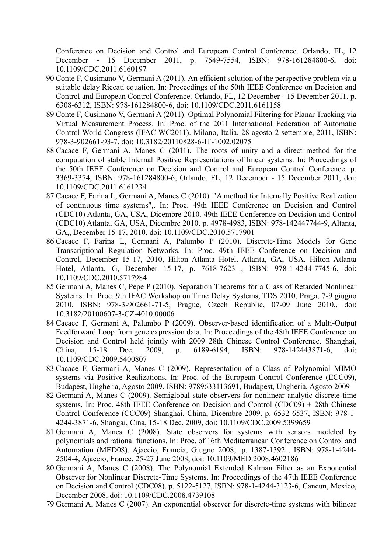Conference on Decision and Control and European Control Conference. Orlando, FL, 12 December - 15 December 2011, p. 7549-7554, ISBN: 978-161284800-6, doi: 10.1109/CDC.2011.6160197

- 90 Conte F, Cusimano V, Germani A (2011). An efficient solution of the perspective problem via a suitable delay Riccati equation. In: Proceedings of the 50th IEEE Conference on Decision and Control and European Control Conference. Orlando, FL, 12 December - 15 December 2011, p. 6308-6312, ISBN: 978-161284800-6, doi: 10.1109/CDC.2011.6161158
- 89 Conte F, Cusimano V, Germani A (2011). Optimal Polynomial Filtering for Planar Tracking via Virtual Measurement Process. In: Proc. of the 2011 International Federation of Automatic Control World Congress (IFAC WC2011). Milano, Italia, 28 agosto-2 settembre, 2011, ISBN: 978-3-902661-93-7, doi: 10.3182/20110828-6-IT-1002.02075
- 88 Cacace F, Germani A, Manes C (2011). The roots of unity and a direct method for the computation of stable Internal Positive Representations of linear systems. In: Proceedings of the 50th IEEE Conference on Decision and Control and European Control Conference. p. 3369-3374, ISBN: 978-161284800-6, Orlando, FL, 12 December - 15 December 2011, doi: 10.1109/CDC.2011.6161234
- 87 Cacace F, Farina L, Germani A, Manes C (2010). "A method for Internally Positive Realization of continuous time systems",. In: Proc. 49th IEEE Conference on Decision and Control (CDC10) Atlanta, GA, USA, Dicembre 2010. 49th IEEE Conference on Decision and Control (CDC10) Atlanta, GA, USA, Dicembre 2010. p. 4978-4983, ISBN: 978-142447744-9, Altanta, GA,, December 15-17, 2010, doi: 10.1109/CDC.2010.5717901
- 86 Cacace F, Farina L, Germani A, Palumbo P (2010). Discrete-Time Models for Gene Transcriptional Regulation Networks. In: Proc. 49th IEEE Conference on Decision and Control, December 15-17, 2010, Hilton Atlanta Hotel, Atlanta, GA, USA. Hilton Atlanta Hotel, Atlanta, G, December 15-17, p. 7618-7623 , ISBN: 978-1-4244-7745-6, doi: 10.1109/CDC.2010.5717984
- 85 Germani A, Manes C, Pepe P (2010). Separation Theorems for a Class of Retarded Nonlinear Systems. In: Proc. 9th IFAC Workshop on Time Delay Systems, TDS 2010, Praga, 7-9 giugno 2010. ISBN: 978-3-902661-71-5, Prague, Czech Republic, 07-09 June 2010,, doi: 10.3182/20100607-3-CZ-4010.00006
- 84 Cacace F, Germani A, Palumbo P (2009). Observer-based identification of a Multi-Output Feedforward Loop from gene expression data. In: Proceedings of the 48th IEEE Conference on Decision and Control held jointly with 2009 28th Chinese Control Conference. Shanghai, China, 15-18 Dec. 2009, p. 6189-6194, ISBN: 978-142443871-6, doi: 10.1109/CDC.2009.5400807
- 83 Cacace F, Germani A, Manes C (2009). Representation of a Class of Polynomial MIMO systems via Positive Realizations. In: Proc. of the European Control Conference (ECC09), Budapest, Ungheria, Agosto 2009. ISBN: 9789633113691, Budapest, Ungheria, Agosto 2009
- 82 Germani A, Manes C (2009). Semiglobal state observers for nonlinear analytic discrete-time systems. In: Proc. 48th IEEE Conference on Decision and Control (CDC09) + 28th Chinese Control Conference (CCC09) Shanghai, China, Dicembre 2009. p. 6532-6537, ISBN: 978-1- 4244-3871-6, Shangai, Cina, 15-18 Dec. 2009, doi: 10.1109/CDC.2009.5399659
- 81 Germani A, Manes C (2008). State observers for systems with sensors modeled by polynomials and rational functions. In: Proc. of 16th Mediterranean Conference on Control and Automation (MED08), Ajaccio, Francia, Giugno 2008;. p. 1387-1392 , ISBN: 978-1-4244- 2504-4, Ajaccio, France, 25-27 June 2008, doi: 10.1109/MED.2008.4602186
- 80 Germani A, Manes C (2008). The Polynomial Extended Kalman Filter as an Exponential Observer for Nonlinear Discrete-Time Systems. In: Proceedings of the 47th IEEE Conference on Decision and Control (CDC08). p. 5122-5127, ISBN: 978-1-4244-3123-6, Cancun, Mexico, December 2008, doi: 10.1109/CDC.2008.4739108
- 79 Germani A, Manes C (2007). An exponential observer for discrete-time systems with bilinear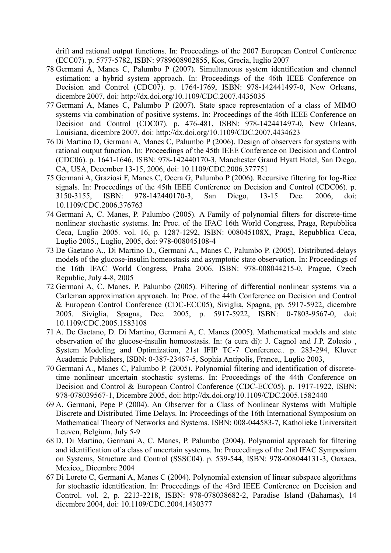drift and rational output functions. In: Proceedings of the 2007 European Control Conference (ECC07). p. 5777-5782, ISBN: 9789608902855, Kos, Grecia, luglio 2007

- 78 Germani A, Manes C, Palumbo P (2007). Simultaneous system identification and channel estimation: a hybrid system approach. In: Proceedings of the 46th IEEE Conference on Decision and Control (CDC07). p. 1764-1769, ISBN: 978-142441497-0, New Orleans, dicembre 2007, doi: http://dx.doi.org/10.1109/CDC.2007.4435035
- 77 Germani A, Manes C, Palumbo P (2007). State space representation of a class of MIMO systems via combination of positive systems. In: Proceedings of the 46th IEEE Conference on Decision and Control (CDC07). p. 476-481, ISBN: 978-142441497-0, New Orleans, Louisiana, dicembre 2007, doi: http://dx.doi.org/10.1109/CDC.2007.4434623
- 76 Di Martino D, Germani A, Manes C, Palumbo P (2006). Design of observers for systems with rational output function. In: Proceedings of the 45th IEEE Conference on Decision and Control (CDC06). p. 1641-1646, ISBN: 978-142440170-3, Manchester Grand Hyatt Hotel, San Diego, CA, USA, December 13-15, 2006, doi: 10.1109/CDC.2006.377751
- 75 Germani A, Graziosi F, Manes C, Ocera G, Palumbo P (2006). Recursive filtering for log-Rice signals. In: Proceedings of the 45th IEEE Conference on Decision and Control (CDC06). p. 3150-3155, ISBN: 978-142440170-3, San Diego, 13-15 Dec. 2006, doi: 10.1109/CDC.2006.376763
- 74 Germani A, C. Manes, P. Palumbo (2005). A Family of polynomial filters for discrete-time nonlinear stochastic systems. In: Proc. of the IFAC 16th World Congress, Praga, Repubblica Ceca, Luglio 2005. vol. 16, p. 1287-1292, ISBN: 008045108X, Praga, Repubblica Ceca, Luglio 2005., Luglio, 2005, doi: 978-008045108-4
- 73 De Gaetano A., Di Martino D., Germani A., Manes C, Palumbo P. (2005). Distributed-delays models of the glucose-insulin homeostasis and asymptotic state observation. In: Proceedings of the 16th IFAC World Congress, Praha 2006. ISBN: 978-008044215-0, Prague, Czech Republic, July 4-8, 2005
- 72 Germani A, C. Manes, P. Palumbo (2005). Filtering of differential nonlinear systems via a Carleman approximation approach. In: Proc. of the 44th Conference on Decision and Control & European Control Conference (CDC-ECC05), Siviglia, Spagna, pp. 5917-5922, dicembre 2005. Siviglia, Spagna, Dec. 2005, p. 5917-5922, ISBN: 0-7803-9567-0, doi: 10.1109/CDC.2005.1583108
- 71 A. De Gaetano, D. Di Martino, Germani A, C. Manes (2005). Mathematical models and state observation of the glucose-insulin homeostasis. In: (a cura di): J. Cagnol and J.P. Zolesio , System Modeling and Optimization, 21st IFIP TC-7 Conference.. p. 283-294, Kluver Academic Publishers, ISBN: 0-387-23467-5, Sophia Antipolis, France,, Luglio 2003,
- 70 Germani A., Manes C, Palumbo P. (2005). Polynomial filtering and identification of discretetime nonlinear uncertain stochastic systems. In: Proceedings of the 44th Conference on Decision and Control & European Control Conference (CDC-ECC05). p. 1917-1922, ISBN: 978-078039567-1, Dicembre 2005, doi: http://dx.doi.org/10.1109/CDC.2005.1582440
- 69 A. Germani, Pepe P (2004). An Observer for a Class of Nonlinear Systems with Multiple Discrete and Distributed Time Delays. In: Proceedings of the 16th International Symposium on Mathematical Theory of Networks and Systems. ISBN: 008-044583-7, Katholieke Universiteit Leuven, Belgium, July 5-9
- 68 D. Di Martino, Germani A, C. Manes, P. Palumbo (2004). Polynomial approach for filtering and identification of a class of uncertain systems. In: Proceedings of the 2nd IFAC Symposium on Systems, Structure and Control (SSSC04). p. 539-544, ISBN: 978-008044131-3, Oaxaca, Mexico,, Dicembre 2004
- 67 Di Loreto C, Germani A, Manes C (2004). Polynomial extension of linear subspace algorithms for stochastic identification. In: Proceedings of the 43rd IEEE Conference on Decision and Control. vol. 2, p. 2213-2218, ISBN: 978-078038682-2, Paradise Island (Bahamas), 14 dicembre 2004, doi: 10.1109/CDC.2004.1430377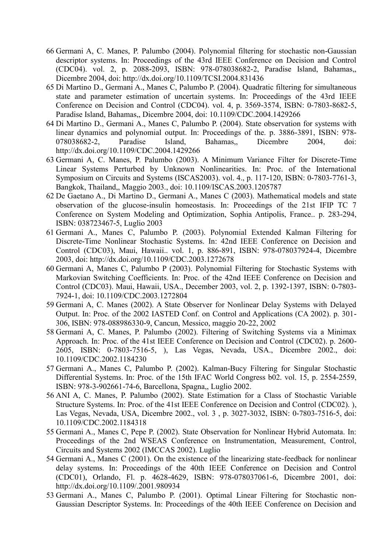- 66 Germani A, C. Manes, P. Palumbo (2004). Polynomial filtering for stochastic non-Gaussian descriptor systems. In: Proceedings of the 43rd IEEE Conference on Decision and Control (CDC04). vol. 2, p. 2088-2093, ISBN: 978-078038682-2, Paradise Island, Bahamas,, Dicembre 2004, doi: http://dx.doi.org/10.1109/TCSI.2004.831436
- 65 Di Martino D., Germani A., Manes C, Palumbo P. (2004). Quadratic filtering for simultaneous state and parameter estimation of uncertain systems. In: Proceedings of the 43rd IEEE Conference on Decision and Control (CDC04). vol. 4, p. 3569-3574, ISBN: 0-7803-8682-5, Paradise Island, Bahamas,, Dicembre 2004, doi: 10.1109/CDC.2004.1429266
- 64 Di Martino D., Germani A., Manes C, Palumbo P. (2004). State observation for systems with linear dynamics and polynomial output. In: Proceedings of the. p. 3886-3891, ISBN: 978- 078038682-2, Paradise Island, Bahamas,, Dicembre 2004, doi: http://dx.doi.org/10.1109/CDC.2004.1429266
- 63 Germani A, C. Manes, P. Palumbo (2003). A Minimum Variance Filter for Discrete-Time Linear Systems Perturbed by Unknown Nonlinearities. In: Proc. of the International Symposium on Circuits and Systems (ISCAS2003). vol. 4., p. 117-120, ISBN: 0-7803-7761-3, Bangkok, Thailand,, Maggio 2003., doi: 10.1109/ISCAS.2003.1205787
- 62 De Gaetano A., Di Martino D., Germani A., Manes C (2003). Mathematical models and state observation of the glucose-insulin homeostasis. In: Proceedings of the 21st IFIP TC 7 Conference on System Modeling and Optimization, Sophia Antipolis, France.. p. 283-294, ISBN: 038723467-5, Luglio 2003
- 61 Germani A., Manes C, Palumbo P. (2003). Polynomial Extended Kalman Filtering for Discrete-Time Nonlinear Stochastic Systems. In: 42nd IEEE Conference on Decision and Control (CDC03), Maui, Hawaii.. vol. 1, p. 886-891, ISBN: 978-078037924-4, Dicembre 2003, doi: http://dx.doi.org/10.1109/CDC.2003.1272678
- 60 Germani A, Manes C, Palumbo P (2003). Polynomial Filtering for Stochastic Systems with Markovian Switching Coefficients. In: Proc. of the 42nd IEEE Conference on Decision and Control (CDC03). Maui, Hawaii, USA., December 2003, vol. 2, p. 1392-1397, ISBN: 0-7803- 7924-1, doi: 10.1109/CDC.2003.1272804
- 59 Germani A, C. Manes (2002). A State Observer for Nonlinear Delay Systems with Delayed Output. In: Proc. of the 2002 IASTED Conf. on Control and Applications (CA 2002). p. 301- 306, ISBN: 978-088986330-9, Cancun, Messico, maggio 20-22, 2002
- 58 Germani A, C. Manes, P. Palumbo (2002). Filtering of Switching Systems via a Minimax Approach. In: Proc. of the 41st IEEE Conference on Decision and Control (CDC02). p. 2600- 2605, ISBN: 0-7803-7516-5, ), Las Vegas, Nevada, USA., Dicembre 2002., doi: 10.1109/CDC.2002.1184230
- 57 Germani A., Manes C, Palumbo P. (2002). Kalman-Bucy Filtering for Singular Stochastic Differential Systems. In: Proc. of the 15th IFAC World Congress b02. vol. 15, p. 2554-2559, ISBN: 978-3-902661-74-6, Barcellona, Spagna,, Luglio 2002.
- 56 ANI A, C. Manes, P. Palumbo (2002). State Estimation for a Class of Stochastic Variable Structure Systems. In: Proc. of the 41st IEEE Conference on Decision and Control (CDC02). ), Las Vegas, Nevada, USA, Dicembre 2002., vol. 3 , p. 3027-3032, ISBN: 0-7803-7516-5, doi: 10.1109/CDC.2002.1184318
- 55 Germani A., Manes C, Pepe P. (2002). State Observation for Nonlinear Hybrid Automata. In: Proceedings of the 2nd WSEAS Conference on Instrumentation, Measurement, Control, Circuits and Systems 2002 (IMCCAS 2002). Luglio
- 54 Germani A., Manes C (2001). On the existence of the linearizing state-feedback for nonlinear delay systems. In: Proceedings of the 40th IEEE Conference on Decision and Control (CDC01), Orlando, Fl. p. 4628-4629, ISBN: 978-078037061-6, Dicembre 2001, doi: http://dx.doi.org/10.1109/.2001.980934
- 53 Germani A., Manes C, Palumbo P. (2001). Optimal Linear Filtering for Stochastic non-Gaussian Descriptor Systems. In: Proceedings of the 40th IEEE Conference on Decision and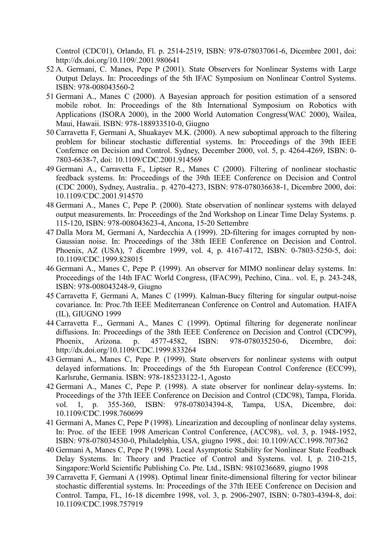Control (CDC01), Orlando, Fl. p. 2514-2519, ISBN: 978-078037061-6, Dicembre 2001, doi: http://dx.doi.org/10.1109/.2001.980641

- 52 A. Germani, C. Manes, Pepe P (2001). State Observers for Nonlinear Systems with Large Output Delays. In: Proceedings of the 5th IFAC Symposium on Nonlinear Control Systems. ISBN: 978-008043560-2
- 51 Germani A., Manes C (2000). A Bayesian approach for position estimation of a sensored mobile robot. In: Proceedings of the 8th International Symposium on Robotics with Applications (ISORA 2000), in the 2000 World Automation Congress(WAC 2000), Wailea, Maui, Hawaii. ISBN: 978-188933510-0, Giugno
- 50 Carravetta F, Germani A, Shuakayev M.K. (2000). A new suboptimal approach to the filtering problem for bilinear stochastic differential systems. In: Proceedings of the 39th IEEE Confernce on Decision and Control. Sydney, December 2000, vol. 5, p. 4264-4269, ISBN: 0- 7803-6638-7, doi: 10.1109/CDC.2001.914569
- 49 Germani A., Carravetta F., Liptser R., Manes C (2000). Filtering of nonlinear stochastic feedback systems. In: Proceedings of the 39th IEEE Conference on Decision and Control (CDC 2000), Sydney, Australia.. p. 4270-4273, ISBN: 978-078036638-1, Dicembre 2000, doi: 10.1109/CDC.2001.914570
- 48 Germani A., Manes C, Pepe P. (2000). State observation of nonlinear systems with delayed output measurements. In: Proceedings of the 2nd Workshop on Linear Time Delay Systems. p. 115-120, ISBN: 978-008043623-4, Ancona, 15-20 Settembre
- 47 Dalla Mora M, Germani A, Nardecchia A (1999). 2D-filtering for images corrupted by non-Gaussian noise. In: Proceedings of the 38th IEEE Conference on Decision and Control. Phoenix, AZ (USA), 7 dicembre 1999, vol. 4, p. 4167-4172, ISBN: 0-7803-5250-5, doi: 10.1109/CDC.1999.828015
- 46 Germani A., Manes C, Pepe P. (1999). An observer for MIMO nonlinear delay systems. In: Proceedings of the 14th IFAC World Congress, (IFAC99), Pechino, Cina.. vol. E, p. 243-248, ISBN: 978-008043248-9, Giugno
- 45 Carravetta F, Germani A, Manes C (1999). Kalman-Bucy filtering for singular output-noise covariance. In: Proc.7th IEEE Mediterranean Conference on Control and Automation. HAIFA (IL), GIUGNO 1999
- 44 Carravetta F.., Germani A., Manes C (1999). Optimal filtering for degenerate nonlinear diffusions. In: Proceedings of the 38th IEEE Conference on Decision and Control (CDC99), Phoenix, Arizona. p. 4577-4582, ISBN: 978-078035250-6, Dicembre, doi: http://dx.doi.org/10.1109/CDC.1999.833264
- 43 Germani A., Manes C, Pepe P. (1999). State observers for nonlinear systems with output delayed informations. In: Proceedings of the 5th European Control Conference (ECC99), Karlsruhe, Germania. ISBN: 978-185233122-1, Agosto
- 42 Germani A., Manes C, Pepe P. (1998). A state observer for nonlinear delay-systems. In: Proceedings of the 37th IEEE Conference on Decision and Control (CDC98), Tampa, Florida. vol. 1, p. 355-360, ISBN: 978-078034394-8, Tampa, USA, Dicembre, doi: 10.1109/CDC.1998.760699
- 41 Germani A, Manes C, Pepe P (1998). Linearization and decoupling of nonlinear delay systems. In: Proc. of the IEEE 1998 American Control Conference, (ACC98),. vol. 3, p. 1948-1952, ISBN: 978-078034530-0, Philadelphia, USA, giugno 1998., doi: 10.1109/ACC.1998.707362
- 40 Germani A, Manes C, Pepe P (1998). Local Asymptotic Stability for Nonlinear State Feedback Delay Systems. In: Theory and Practice of Control and Systems. vol. I, p. 210-215, Singapore:World Scientific Publishing Co. Pte. Ltd., ISBN: 9810236689, giugno 1998
- 39 Carravetta F, Germani A (1998). Optimal linear finite-dimensional filtering for vector bilinear stochastic differential systems. In: Proceedings of the 37th IEEE Conference on Decision and Control. Tampa, FL, 16-18 dicembre 1998, vol. 3, p. 2906-2907, ISBN: 0-7803-4394-8, doi: 10.1109/CDC.1998.757919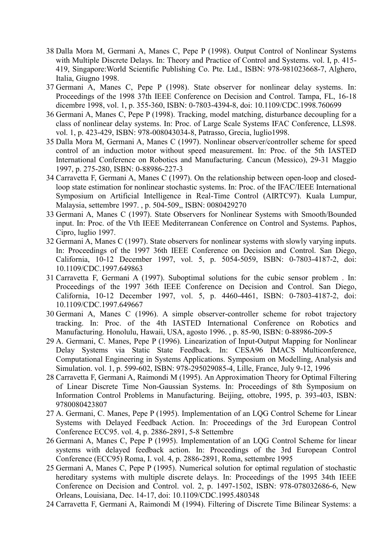- 38 Dalla Mora M, Germani A, Manes C, Pepe P (1998). Output Control of Nonlinear Systems with Multiple Discrete Delays. In: Theory and Practice of Control and Systems. vol. I, p. 415- 419, Singapore:World Scientific Publishing Co. Pte. Ltd., ISBN: 978-981023668-7, Alghero, Italia, Giugno 1998.
- 37 Germani A, Manes C, Pepe P (1998). State observer for nonlinear delay systems. In: Proceedings of the 1998 37th IEEE Conference on Decision and Control. Tampa, FL, 16-18 dicembre 1998, vol. 1, p. 355-360, ISBN: 0-7803-4394-8, doi: 10.1109/CDC.1998.760699
- 36 Germani A, Manes C, Pepe P (1998). Tracking, model matching, disturbance decoupling for a class of nonlinear delay systems. In: Proc. of Large Scale Systems IFAC Conference, LLS98. vol. 1, p. 423-429, ISBN: 978-008043034-8, Patrasso, Grecia, luglio1998.
- 35 Dalla Mora M, Germani A, Manes C (1997). Nonlinear observer/controller scheme for speed control of an induction motor without speed measurement. In: Proc. of the 5th IASTED International Conference on Robotics and Manufacturing. Cancun (Messico), 29-31 Maggio 1997, p. 275-280, ISBN: 0-88986-227-3
- 34 Carravetta F, Germani A, Manes C (1997). On the relationship between open-loop and closedloop state estimation for nonlinear stochastic systems. In: Proc. of the IFAC/IEEE International Symposium on Artificial Intelligence in Real-Time Control (AIRTC97). Kuala Lumpur, Malaysia, settembre 1997. , p. 504-509,, ISBN: 0080429270
- 33 Germani A, Manes C (1997). State Observers for Nonlinear Systems with Smooth/Bounded input. In: Proc. of the Vth IEEE Mediterranean Conference on Control and Systems. Paphos, Cipro, luglio 1997.
- 32 Germani A, Manes C (1997). State observers for nonlinear systems with slowly varying inputs. In: Proceedings of the 1997 36th IEEE Conference on Decision and Control. San Diego, California, 10-12 December 1997, vol. 5, p. 5054-5059, ISBN: 0-7803-4187-2, doi: 10.1109/CDC.1997.649863
- 31 Carravetta F, Germani A (1997). Suboptimal solutions for the cubic sensor problem . In: Proceedings of the 1997 36th IEEE Conference on Decision and Control. San Diego, California, 10-12 December 1997, vol. 5, p. 4460-4461, ISBN: 0-7803-4187-2, doi: 10.1109/CDC.1997.649667
- 30 Germani A, Manes C (1996). A simple observer-controller scheme for robot trajectory tracking. In: Proc. of the 4th IASTED International Conference on Robotics and Manufacturing. Honolulu, Hawaii, USA, agosto 1996. , p. 85-90, ISBN: 0-88986-209-5
- 29 A. Germani, C. Manes, Pepe P (1996). Linearization of Input-Output Mapping for Nonlinear Delay Systems via Static State Feedback. In: CESA96 IMACS Multiconference, Computational Engineering in Systems Applications. Symposium on Modelling, Analysis and Simulation. vol. 1, p. 599-602, ISBN: 978-295029085-4, Lille, France, July 9-12, 1996
- 28 Carravetta F, Germani A, Raimondi M (1995). An Approximation Theory for Optimal Filtering of Linear Discrete Time Non-Gaussian Systems. In: Proceedings of 8th Symposium on Information Control Problems in Manufacturing. Beijing, ottobre, 1995, p. 393-403, ISBN: 9780080423807
- 27 A. Germani, C. Manes, Pepe P (1995). Implementation of an LQG Control Scheme for Linear Systems with Delayed Feedback Action. In: Proceedings of the 3rd European Control Conference ECC95. vol. 4, p. 2886-2891, 5-8 Settembre
- 26 Germani A, Manes C, Pepe P (1995). Implementation of an LQG Control Scheme for linear systems with delayed feedback action. In: Proceedings of the 3rd European Control Conference (ECC95) Roma, I. vol. 4, p. 2886-2891, Roma, settembre 1995
- 25 Germani A, Manes C, Pepe P (1995). Numerical solution for optimal regulation of stochastic hereditary systems with multiple discrete delays. In: Proceedings of the 1995 34th IEEE Conference on Decision and Control. vol. 2, p. 1497-1502, ISBN: 978-078032686-6, New Orleans, Louisiana, Dec. 14-17, doi: 10.1109/CDC.1995.480348
- 24 Carravetta F, Germani A, Raimondi M (1994). Filtering of Discrete Time Bilinear Systems: a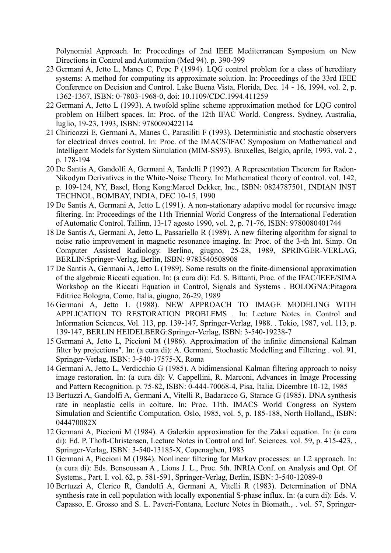Polynomial Approach. In: Proceedings of 2nd IEEE Mediterranean Symposium on New Directions in Control and Automation (Med 94). p. 390-399

- 23 Germani A, Jetto L, Manes C, Pepe P (1994). LQG control problem for a class of hereditary systems: A method for computing its approximate solution. In: Proceedings of the 33rd IEEE Conference on Decision and Control. Lake Buena Vista, Florida, Dec. 14 - 16, 1994, vol. 2, p. 1362-1367, ISBN: 0-7803-1968-0, doi: 10.1109/CDC.1994.411259
- 22 Germani A, Jetto L (1993). A twofold spline scheme approximation method for LQG control problem on Hilbert spaces. In: Proc. of the 12th IFAC World. Congress. Sydney, Australia, luglio, 19-23, 1993, ISBN: 9780080422114
- 21 Chiricozzi E, Germani A, Manes C, Parasiliti F (1993). Deterministic and stochastic observers for electrical drives control. In: Proc. of the IMACS/IFAC Symposium on Mathematical and Intelligent Models for System Simulation (MIM-SS93). Bruxelles, Belgio, aprile, 1993, vol. 2 , p. 178-194
- 20 De Santis A, Gandolfi A, Germani A, Tardelli P (1992). A Representation Theorem for Radon-Nikodym Derivatives in the White-Noise Theory. In: Mathematical theory of control. vol. 142, p. 109-124, NY, Basel, Hong Kong:Marcel Dekker, Inc., ISBN: 0824787501, INDIAN INST TECHNOL, BOMBAY, INDIA, DEC 10-15, 1990
- 19 De Santis A, Germani A, Jetto L (1991). A non-stationary adaptive model for recursive image filtering. In: Proceedings of the 11th Triennial World Congress of the International Federation of Automatic Control. Tallinn, 13-17 agosto 1990, vol. 2, p. 71-76, ISBN: 9780080401744
- 18 De Santis A, Germani A, Jetto L, Passariello R (1989). A new filtering algorithm for signal to noise ratio improvement in magnetic resonance imaging. In: Proc. of the 3-th Int. Simp. On Computer Assisted Radiology. Berlino, giugno, 25-28, 1989, SPRINGER-VERLAG, BERLIN:Springer-Verlag, Berlin, ISBN: 9783540508908
- 17 De Santis A, Germani A, Jetto L (1989). Some results on the finite-dimensional approximation of the algebraic Riccati equation. In: (a cura di): Ed. S. Bittanti, Proc. of the IFAC/IEEE/SIMA Workshop on the Riccati Equation in Control, Signals and Systems . BOLOGNA:Pitagora Editrice Bologna, Como, Italia, giugno, 26-29, 1989
- 16 Germani A, Jetto L (1988). NEW APPROACH TO IMAGE MODELING WITH APPLICATION TO RESTORATION PROBLEMS . In: Lecture Notes in Control and Information Sciences, Vol. 113, pp. 139-147, Springer-Verlag, 1988. . Tokio, 1987, vol. 113, p. 139-147, BERLIN HEIDELBERG:Springer-Verlag, ISBN: 3-540-19238-7
- 15 Germani A, Jetto L, Piccioni M (1986). Approximation of the infinite dimensional Kalman filter by projections". In: (a cura di): A. Germani, Stochastic Modelling and Filtering . vol. 91, Springer-Verlag, ISBN: 3-540-17575-X, Roma
- 14 Germani A, Jetto L, Verdicchio G (1985). A bidimensional Kalman filtering approach to noisy image restoration. In: (a cura di): V. Cappellini, R. Marconi, Advances in Image Processing and Pattern Recognition. p. 75-82, ISBN: 0-444-70068-4, Pisa, Italia, Dicembre 10-12, 1985
- 13 Bertuzzi A, Gandolfi A, Germani A, Vitelli R, Badaracco G, Starace G (1985). DNA synthesis rate in neoplastic cells in colture. In: Proc. 11th. IMACS World Congress on System Simulation and Scientific Computation. Oslo, 1985, vol. 5, p. 185-188, North Holland,, ISBN: 044470082X
- 12 Germani A, Piccioni M (1984). A Galerkin approximation for the Zakai equation. In: (a cura di): Ed. P. Thoft-Christensen, Lecture Notes in Control and Inf. Sciences. vol. 59, p. 415-423, , Springer-Verlag, ISBN: 3-540-13185-X, Copenaghen, 1983
- 11 Germani A, Piccioni M (1984). Nonlinear filtering for Markov processes: an L2 approach. In: (a cura di): Eds. Bensoussan A , Lions J. L., Proc. 5th. INRIA Conf. on Analysis and Opt. Of Systems., Part. I. vol. 62, p. 581-591, Springer-Verlag, Berlin, ISBN: 3-540-12089-0
- 10 Bertuzzi A, Clerico R, Gandolfi A, Germani A, Vitelli R (1983). Determination of DNA synthesis rate in cell population with locally exponential S-phase influx. In: (a cura di): Eds. V. Capasso, E. Grosso and S. L. Paveri-Fontana, Lecture Notes in Biomath., . vol. 57, Springer-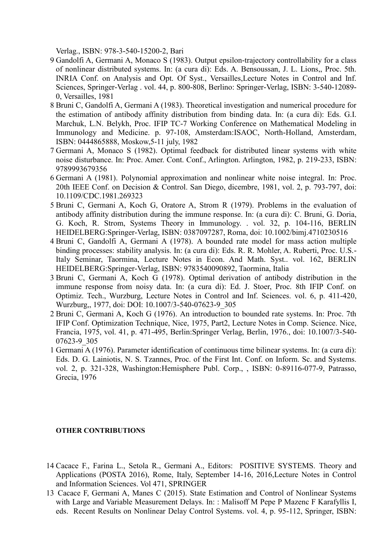Verlag., ISBN: 978-3-540-15200-2, Bari

- 9 Gandolfi A, Germani A, Monaco S (1983). Output epsilon-trajectory controllability for a class of nonlinear distributed systems. In: (a cura di): Eds. A. Bensoussan, J. L. Lions,, Proc. 5th. INRIA Conf. on Analysis and Opt. Of Syst., Versailles,Lecture Notes in Control and Inf. Sciences, Springer-Verlag . vol. 44, p. 800-808, Berlino: Springer-Verlag, ISBN: 3-540-12089- 0, Versailles, 1981
- 8 Bruni C, Gandolfi A, Germani A (1983). Theoretical investigation and numerical procedure for the estimation of antibody affinity distribution from binding data. In: (a cura di): Eds. G.I. Marchuk, L.N. Belykh, Proc. IFIP TC-7 Working Conference on Mathematical Modeling in Immunology and Medicine. p. 97-108, Amsterdam:ISAOC, North-Holland, Amsterdam, ISBN: 0444865888, Moskow,5-11 july, 1982
- 7 Germani A, Monaco S (1982). Optimal feedback for distributed linear systems with white noise disturbance. In: Proc. Amer. Cont. Conf., Arlington. Arlington, 1982, p. 219-233, ISBN: 9789993679356
- 6 Germani A (1981). Polynomial approximation and nonlinear white noise integral. In: Proc. 20th IEEE Conf. on Decision & Control. San Diego, dicembre, 1981, vol. 2, p. 793-797, doi: 10.1109/CDC.1981.269323
- 5 Bruni C, Germani A, Koch G, Oratore A, Strom R (1979). Problems in the evaluation of antibody affinity distribution during the immune response. In: (a cura di): C. Bruni, G. Doria, G. Koch, R. Strom, Systems Theory in Immunology. . vol. 32, p. 104-116, BERLIN HEIDELBERG:Springer-Verlag, ISBN: 0387097287, Roma, doi: 10.1002/bimj.4710230516
- 4 Bruni C, Gandolfi A, Germani A (1978). A bounded rate model for mass action multiple binding processes: stability analysis. In: (a cura di): Eds. R. R. Mohler, A. Ruberti, Proc. U.S.- Italy Seminar, Taormina, Lecture Notes in Econ. And Math. Syst.. vol. 162, BERLIN HEIDELBERG:Springer-Verlag, ISBN: 9783540090892, Taormina, Italia
- 3 Bruni C, Germani A, Koch G (1978). Optimal derivation of antibody distribution in the immune response from noisy data. In: (a cura di): Ed. J. Stoer, Proc. 8th IFIP Conf. on Optimiz. Tech., Wurzburg, Lecture Notes in Control and Inf. Sciences. vol. 6, p. 411-420, Wurzburg,, 1977, doi: DOI: 10.1007/3-540-07623-9\_305
- 2 Bruni C, Germani A, Koch G (1976). An introduction to bounded rate systems. In: Proc. 7th IFIP Conf. Optimization Technique, Nice, 1975, Part2, Lecture Notes in Comp. Science. Nice, Francia, 1975, vol. 41, p. 471-495, Berlin:Springer Verlag, Berlin, 1976., doi: 10.1007/3-540- 07623-9\_305
- 1 Germani A (1976). Parameter identification of continuous time bilinear systems. In: (a cura di): Eds. D. G. Lainiotis, N. S. Tzannes, Proc. of the First Int. Conf. on Inform. Sc. and Systems. vol. 2, p. 321-328, Washington:Hemisphere Publ. Corp., , ISBN: 0-89116-077-9, Patrasso, Grecia, 1976

### **OTHER CONTRIBUTIONS**

- 14 Cacace F., Farina L., Setola R., Germani A., Editors: POSITIVE SYSTEMS. Theory and Applications (POSTA 2016), Rome, Italy, September 14-16, 2016,Lecture Notes in Control and Information Sciences. Vol 471, SPRINGER
- 13 Cacace F, Germani A, Manes C (2015). State Estimation and Control of Nonlinear Systems with Large and Variable Measurement Delays. In: : Malisoff M Pepe P Mazenc F Karafyllis I, eds. Recent Results on Nonlinear Delay Control Systems. vol. 4, p. 95-112, Springer, ISBN: